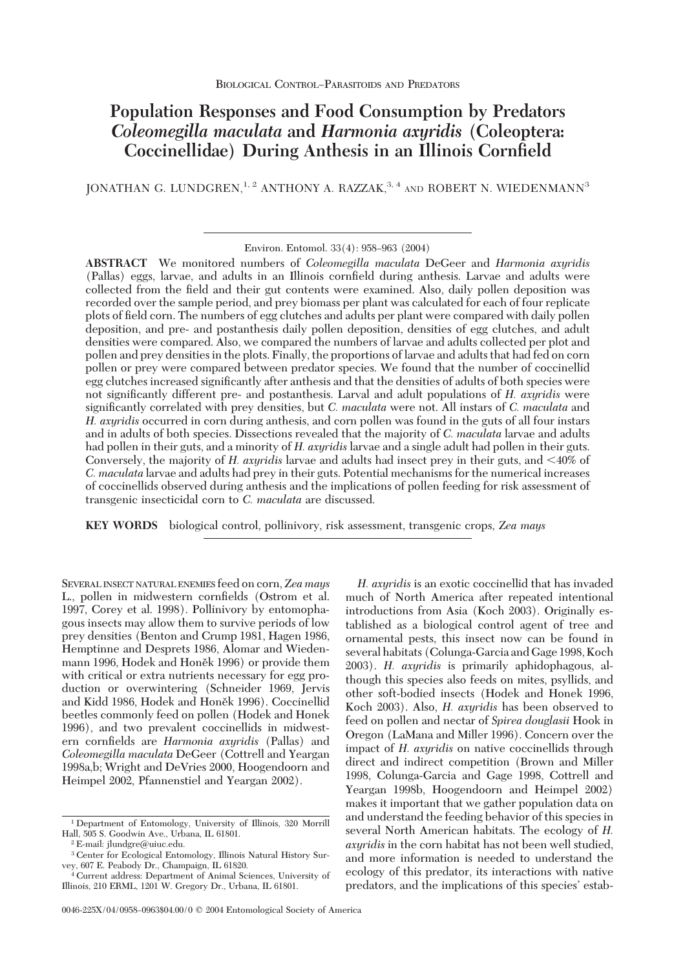# **Population Responses and Food Consumption by Predators** *Coleomegilla maculata* **and** *Harmonia axyridis* **(Coleoptera: Coccinellidae) During Anthesis in an Illinois Cornfield**

JONATHAN G. LUNDGREN,  $^{1, 2}$  ANTHONY A. RAZZAK,  $^{3, 4}$  and ROBERT N. WIEDENMANN<sup>3</sup>

**ABSTRACT** We monitored numbers of *Coleomegilla maculata* DeGeer and *Harmonia axyridis* (Pallas) eggs, larvae, and adults in an Illinois cornfield during anthesis. Larvae and adults were collected from the field and their gut contents were examined. Also, daily pollen deposition was recorded over the sample period, and prey biomass per plant was calculated for each of four replicate plots of field corn. The numbers of egg clutches and adults per plant were compared with daily pollen deposition, and pre- and postanthesis daily pollen deposition, densities of egg clutches, and adult densities were compared. Also, we compared the numbers of larvae and adults collected per plot and pollen and prey densities in the plots. Finally, the proportions of larvae and adults that had fed on corn pollen or prey were compared between predator species. We found that the number of coccinellid egg clutches increased signiÞcantly after anthesis and that the densities of adults of both species were not significantly different pre- and postanthesis. Larval and adult populations of *H. axyridis* were significantly correlated with prey densities, but *C. maculata* were not. All instars of *C. maculata* and *H. axyridis* occurred in corn during anthesis, and corn pollen was found in the guts of all four instars and in adults of both species. Dissections revealed that the majority of *C. maculata* larvae and adults had pollen in their guts, and a minority of *H. axyridis* larvae and a single adult had pollen in their guts. Conversely, the majority of *H. axyridis* larvae and adults had insect prey in their guts, and 40% of *C. maculata* larvae and adults had prey in their guts. Potential mechanisms for the numerical increases of coccinellids observed during anthesis and the implications of pollen feeding for risk assessment of transgenic insecticidal corn to *C. maculata* are discussed.

**KEY WORDS** biological control, pollinivory, risk assessment, transgenic crops, *Zea mays*

SEVERAL INSECT NATURAL ENEMIES feed on corn,*Zea mays* L., pollen in midwestern cornfields (Ostrom et al. 1997, Corey et al. 1998). Pollinivory by entomophagous insects may allow them to survive periods of low prey densities (Benton and Crump 1981, Hagen 1986, Hemptinne and Desprets 1986, Alomar and Wiedenmann 1996, Hodek and Honěk 1996) or provide them with critical or extra nutrients necessary for egg production or overwintering (Schneider 1969, Jervis and Kidd 1986, Hodek and Honěk 1996). Coccinellid beetles commonly feed on pollen (Hodek and Honek 1996), and two prevalent coccinellids in midwestern cornfields are *Harmonia axyridis* (Pallas) and *Coleomegilla maculata* DeGeer (Cottrell and Yeargan 1998a,b; Wright and DeVries 2000, Hoogendoorn and Heimpel 2002, Pfannenstiel and Yeargan 2002).

*H. axyridis* is an exotic coccinellid that has invaded much of North America after repeated intentional introductions from Asia (Koch 2003). Originally established as a biological control agent of tree and ornamental pests, this insect now can be found in several habitats (Colunga-Garcia and Gage 1998, Koch 2003). *H. axyridis* is primarily aphidophagous, although this species also feeds on mites, psyllids, and other soft-bodied insects (Hodek and Honek 1996, Koch 2003). Also, *H. axyridis* has been observed to feed on pollen and nectar of *Spirea douglasii* Hook in Oregon (LaMana and Miller 1996). Concern over the impact of *H. axyridis* on native coccinellids through direct and indirect competition (Brown and Miller 1998, Colunga-Garcia and Gage 1998, Cottrell and Yeargan 1998b, Hoogendoorn and Heimpel 2002) makes it important that we gather population data on and understand the feeding behavior of this species in several North American habitats. The ecology of *H. axyridis* in the corn habitat has not been well studied, and more information is needed to understand the ecology of this predator, its interactions with native predators, and the implications of this species' estab-

Environ. Entomol. 33(4): 958-963 (2004)

<sup>1</sup> Department of Entomology, University of Illinois, 320 Morrill Hall, 505 S. Goodwin Ave., Urbana, IL 61801.

<sup>2</sup> E-mail: jlundgre@uiuc.edu.

<sup>3</sup> Center for Ecological Entomology, Illinois Natural History Survey, 607 E. Peabody Dr., Champaign, IL 61820.

<sup>4</sup> Current address: Department of Animal Sciences, University of Illinois, 210 ERML, 1201 W. Gregory Dr., Urbana, IL 61801.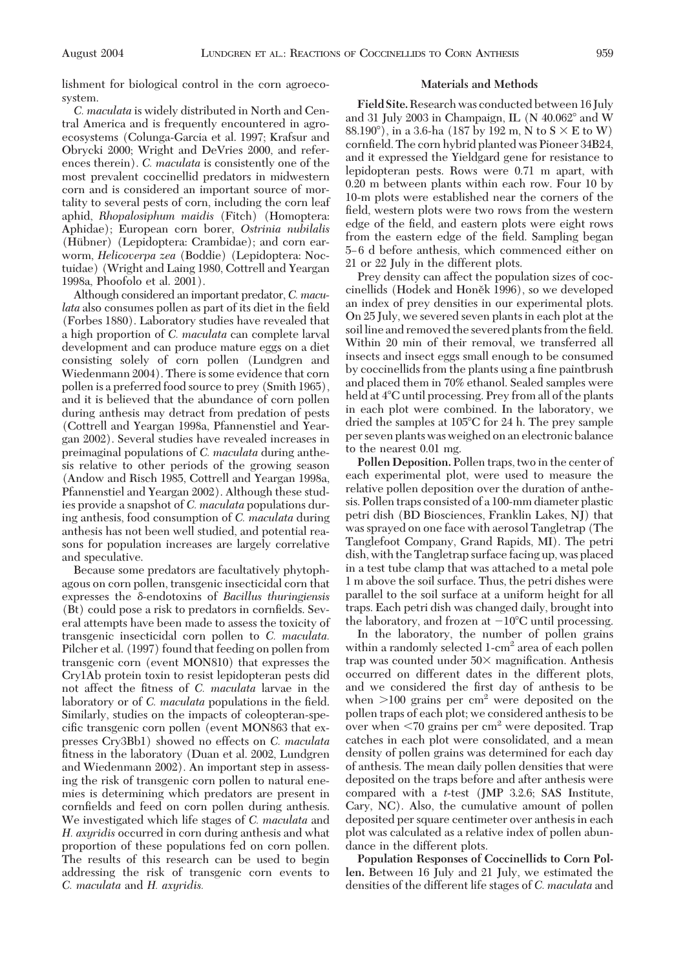lishment for biological control in the corn agroecosystem.

*C. maculata* is widely distributed in North and Central America and is frequently encountered in agroecosystems (Colunga-Garcia et al. 1997; Krafsur and Obrycki 2000; Wright and DeVries 2000, and references therein). *C. maculata* is consistently one of the most prevalent coccinellid predators in midwestern corn and is considered an important source of mortality to several pests of corn, including the corn leaf aphid, *Rhopalosiphum maidis* (Fitch) (Homoptera: Aphidae); European corn borer, *Ostrinia nubilalis* (Hübner) (Lepidoptera: Crambidae); and corn earworm, *Helicoverpa zea* (Boddie) (Lepidoptera: Noctuidae) (Wright and Laing 1980, Cottrell and Yeargan 1998a, Phoofolo et al. 2001).

Although considered an important predator, *C. maculata* also consumes pollen as part of its diet in the field (Forbes 1880). Laboratory studies have revealed that a high proportion of *C. maculata* can complete larval development and can produce mature eggs on a diet consisting solely of corn pollen (Lundgren and Wiedenmann 2004). There is some evidence that corn pollen is a preferred food source to prey (Smith 1965), and it is believed that the abundance of corn pollen during anthesis may detract from predation of pests (Cottrell and Yeargan 1998a, Pfannenstiel and Yeargan 2002). Several studies have revealed increases in preimaginal populations of *C. maculata* during anthesis relative to other periods of the growing season (Andow and Risch 1985, Cottrell and Yeargan 1998a, Pfannenstiel and Yeargan 2002). Although these studies provide a snapshot of *C. maculata* populations during anthesis, food consumption of *C. maculata* during anthesis has not been well studied, and potential reasons for population increases are largely correlative and speculative.

Because some predators are facultatively phytophagous on corn pollen, transgenic insecticidal corn that expresses the δ-endotoxins of *Bacillus thuringiensis*  $(Bt)$  could pose a risk to predators in cornfields. Several attempts have been made to assess the toxicity of transgenic insecticidal corn pollen to *C. maculata.* Pilcher et al. (1997) found that feeding on pollen from transgenic corn (event MON810) that expresses the Cry1Ab protein toxin to resist lepidopteran pests did not affect the fitness of *C. maculata* larvae in the laboratory or of *C. maculata* populations in the field. Similarly, studies on the impacts of coleopteran-specific transgenic corn pollen (event MON863 that expresses Cry3Bb1) showed no effects on *C. maculata* fitness in the laboratory (Duan et al. 2002, Lundgren and Wiedenmann 2002). An important step in assessing the risk of transgenic corn pollen to natural enemies is determining which predators are present in cornfields and feed on corn pollen during anthesis. We investigated which life stages of *C. maculata* and *H. axyridis* occurred in corn during anthesis and what proportion of these populations fed on corn pollen. The results of this research can be used to begin addressing the risk of transgenic corn events to *C. maculata* and *H. axyridis.*

### **Materials and Methods**

**Field Site.**Research was conducted between 16 July and 31 July 2003 in Champaign, IL (N 40.062° and W  $88.190^{\circ}$ ), in a 3.6-ha (187 by 192 m, N to S  $\times$  E to W) cornfield. The corn hybrid planted was Pioneer 34B24, and it expressed the Yieldgard gene for resistance to lepidopteran pests. Rows were 0.71 m apart, with 0.20 m between plants within each row. Four 10 by 10-m plots were established near the corners of the field, western plots were two rows from the western edge of the field, and eastern plots were eight rows from the eastern edge of the field. Sampling began 5Ð 6 d before anthesis, which commenced either on 21 or 22 July in the different plots.

Prey density can affect the population sizes of coccinellids (Hodek and Honěk 1996), so we developed an index of prey densities in our experimental plots. On 25 July, we severed seven plants in each plot at the soil line and removed the severed plants from the field. Within 20 min of their removal, we transferred all insects and insect eggs small enough to be consumed by coccinellids from the plants using a fine paintbrush and placed them in 70% ethanol. Sealed samples were held at 4°C until processing. Prey from all of the plants in each plot were combined. In the laboratory, we dried the samples at 105°C for 24 h. The prey sample per seven plants was weighed on an electronic balance to the nearest 0.01 mg.

**Pollen Deposition.** Pollen traps, two in the center of each experimental plot, were used to measure the relative pollen deposition over the duration of anthesis. Pollen traps consisted of a 100-mm diameter plastic petri dish (BD Biosciences, Franklin Lakes, NJ) that was sprayed on one face with aerosol Tangletrap (The Tanglefoot Company, Grand Rapids, MI). The petri dish, with the Tangletrap surface facing up, was placed in a test tube clamp that was attached to a metal pole 1 m above the soil surface. Thus, the petri dishes were parallel to the soil surface at a uniform height for all traps. Each petri dish was changed daily, brought into the laboratory, and frozen at  $-10^{\circ}$ C until processing.

In the laboratory, the number of pollen grains within a randomly selected 1-cm<sup>2</sup> area of each pollen trap was counted under  $50\times$  magnification. Anthesis occurred on different dates in the different plots, and we considered the first day of anthesis to be when  $>100$  grains per cm<sup>2</sup> were deposited on the pollen traps of each plot; we considered anthesis to be over when  $\leq 70$  grains per cm<sup>2</sup> were deposited. Trap catches in each plot were consolidated, and a mean density of pollen grains was determined for each day of anthesis. The mean daily pollen densities that were deposited on the traps before and after anthesis were compared with a *t*-test (JMP 3.2.6; SAS Institute, Cary, NC). Also, the cumulative amount of pollen deposited per square centimeter over anthesis in each plot was calculated as a relative index of pollen abundance in the different plots.

**Population Responses of Coccinellids to Corn Pollen.** Between 16 July and 21 July, we estimated the densities of the different life stages of *C. maculata* and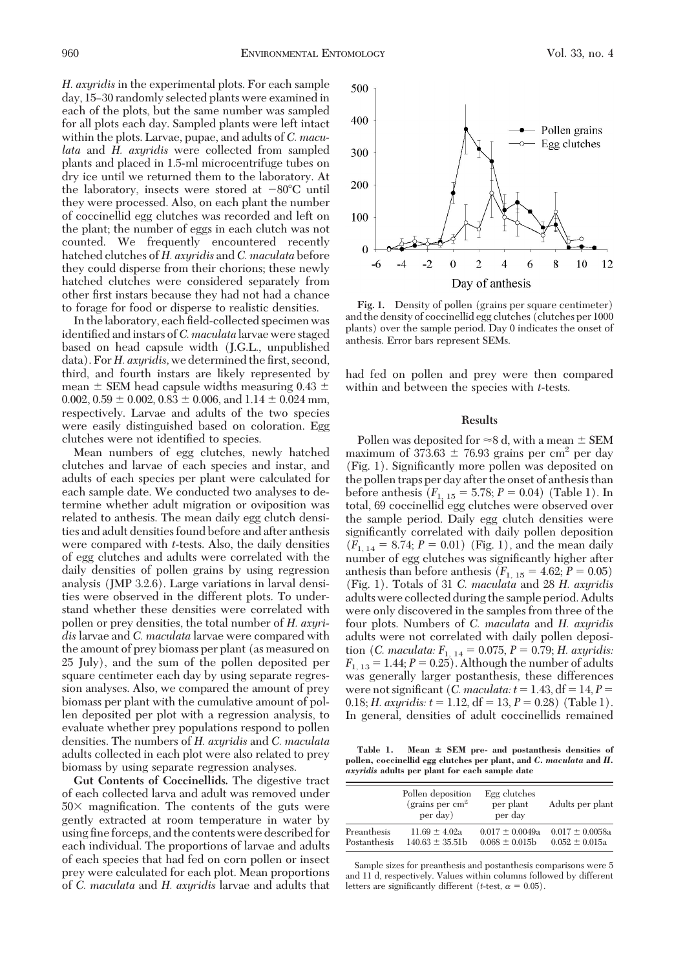*H. axyridis* in the experimental plots. For each sample day, 15-30 randomly selected plants were examined in each of the plots, but the same number was sampled for all plots each day. Sampled plants were left intact within the plots. Larvae, pupae, and adults of *C. maculata* and *H. axyridis* were collected from sampled plants and placed in 1.5-ml microcentrifuge tubes on dry ice until we returned them to the laboratory. At the laboratory, insects were stored at  $-80^{\circ}\text{C}$  until they were processed. Also, on each plant the number of coccinellid egg clutches was recorded and left on the plant; the number of eggs in each clutch was not counted. We frequently encountered recently hatched clutches of *H. axyridis* and *C. maculata* before they could disperse from their chorions; these newly hatched clutches were considered separately from other first instars because they had not had a chance to forage for food or disperse to realistic densities.

In the laboratory, each field-collected specimen was identified and instars of *C. maculata* larvae were staged based on head capsule width (J.G.L., unpublished data). For *H. axyridis*, we determined the first, second, third, and fourth instars are likely represented by mean  $\pm$  SEM head capsule widths measuring 0.43  $\pm$ 0.002,  $0.59 \pm 0.002$ ,  $0.83 \pm 0.006$ , and  $1.14 \pm 0.024$  mm, respectively. Larvae and adults of the two species were easily distinguished based on coloration. Egg clutches were not identified to species.

Mean numbers of egg clutches, newly hatched clutches and larvae of each species and instar, and adults of each species per plant were calculated for each sample date. We conducted two analyses to determine whether adult migration or oviposition was related to anthesis. The mean daily egg clutch densities and adult densities found before and after anthesis were compared with *t*-tests. Also, the daily densities of egg clutches and adults were correlated with the daily densities of pollen grains by using regression analysis (JMP 3.2.6). Large variations in larval densities were observed in the different plots. To understand whether these densities were correlated with pollen or prey densities, the total number of *H. axyridis* larvae and *C. maculata* larvae were compared with the amount of prey biomass per plant (as measured on 25 July), and the sum of the pollen deposited per square centimeter each day by using separate regression analyses. Also, we compared the amount of prey biomass per plant with the cumulative amount of pollen deposited per plot with a regression analysis, to evaluate whether prey populations respond to pollen densities. The numbers of *H. axyridis* and *C. maculata* adults collected in each plot were also related to prey biomass by using separate regression analyses.

**Gut Contents of Coccinellids.** The digestive tract of each collected larva and adult was removed under  $50\times$  magnification. The contents of the guts were gently extracted at room temperature in water by using fine forceps, and the contents were described for each individual. The proportions of larvae and adults of each species that had fed on corn pollen or insect prey were calculated for each plot. Mean proportions of *C. maculata* and *H. axyridis* larvae and adults that



**Fig. 1.** Density of pollen (grains per square centimeter) and the density of coccinellid egg clutches (clutches per 1000 plants) over the sample period. Day 0 indicates the onset of anthesis. Error bars represent SEMs.

had fed on pollen and prey were then compared within and between the species with *t*-tests.

#### **Results**

Pollen was deposited for  $\approx 8$  d, with a mean  $\pm$  SEM maximum of 373.63  $\pm$  76.93 grains per cm<sup>2</sup> per day (Fig. 1). Significantly more pollen was deposited on the pollen traps per day after the onset of anthesis than before anthesis  $(F_{1, 15} = 5.78; P = 0.04)$  (Table 1). In total, 69 coccinellid egg clutches were observed over the sample period. Daily egg clutch densities were significantly correlated with daily pollen deposition  $(F_{1, 14} = 8.74; P = 0.01)$  (Fig. 1), and the mean daily number of egg clutches was significantly higher after anthesis than before anthesis  $(F_{1, 15} = 4.62; P = 0.05)$ (Fig. 1). Totals of 31 *C. maculata* and 28 *H. axyridis* adults were collected during the sample period. Adults were only discovered in the samples from three of the four plots. Numbers of *C. maculata* and *H. axyridis* adults were not correlated with daily pollen deposition (*C. maculata:*  $F_{1, 14} = 0.075, P = 0.79; H.$  axyridis:  $F_{1, 13} = 1.44; P = 0.25$ . Although the number of adults was generally larger postanthesis, these differences were not significant (*C. maculata: t* = 1.43,  $df = 14$ ,  $P =$ 0.18; *H. axyridis:*  $t = 1.12$ ,  $df = 13$ ,  $P = 0.28$ ) (Table 1). In general, densities of adult coccinellids remained

**Table 1. Mean SEM pre- and postanthesis densities of pollen, coccinellid egg clutches per plant, and** *C. maculata* **and** *H. axyridis* **adults per plant for each sample date**

|              | Pollen deposition<br>(grains per $cm2$ )<br>per day) | Egg clutches<br>per plant<br>per day | Adults per plant    |
|--------------|------------------------------------------------------|--------------------------------------|---------------------|
| Preanthesis  | $11.69 \pm 4.02a$                                    | $0.017 \pm 0.0049a$                  | $0.017 \pm 0.0058a$ |
| Postanthesis | $140.63 \pm 35.51$                                   | $0.068 \pm 0.015$ h                  | $0.052 \pm 0.015a$  |

Sample sizes for preanthesis and postanthesis comparisons were 5 and 11 d, respectively. Values within columns followed by different letters are significantly different (*t*-test,  $\alpha = 0.05$ ).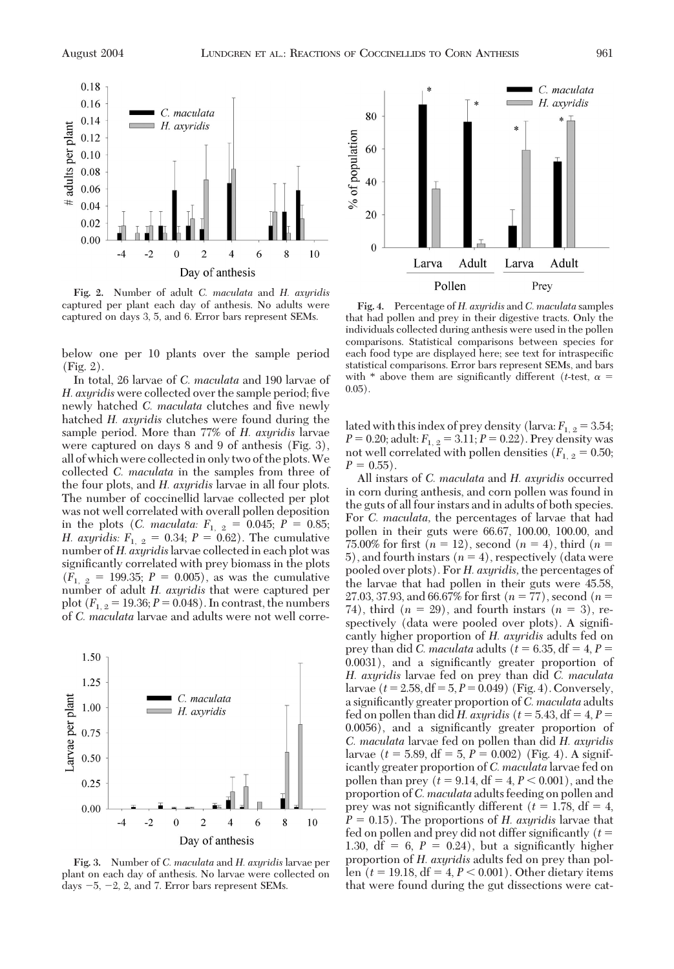

**Fig. 2.** Number of adult *C. maculata* and *H. axyridis* captured per plant each day of anthesis. No adults were captured on days 3, 5, and 6. Error bars represent SEMs.

below one per 10 plants over the sample period (Fig. 2).

In total, 26 larvae of *C. maculata* and 190 larvae of *H. axyridis* were collected over the sample period; five newly hatched *C. maculata* clutches and five newly hatched *H. axyridis* clutches were found during the sample period. More than 77% of *H. axyridis* larvae were captured on days 8and 9 of anthesis (Fig. 3), all of which were collectedin only two of the plots.We collected *C. maculata* in the samples from three of the four plots, and *H. axyridis* larvae in all four plots. The number of coccinellid larvae collected per plot was not well correlated with overall pollen deposition in the plots (*C. maculata:*  $F_{1, 2} = 0.045; P = 0.85;$ *H. axyridis:*  $F_{1, 2} = 0.34; P = 0.62$ . The cumulative number of *H. axyridis*larvae collected in each plot was significantly correlated with prey biomass in the plots  $(F_{1, 2} = 199.35; P = 0.005)$ , as was the cumulative number of adult *H. axyridis* that were captured per plot  $(F_{1, 2} = 19.36; P = 0.048)$ . In contrast, the numbers of *C. maculata* larvae and adults were not well corre-



**Fig. 3.** Number of *C. maculata* and *H. axyridis* larvae per plant on each day of anthesis. No larvae were collected on days  $-5$ ,  $-2$ , 2, and 7. Error bars represent SEMs.



**Fig. 4.** Percentage of *H. axyridis* and *C. maculata* samples that had pollen and prey in their digestive tracts. Only the individuals collected during anthesis were used in the pollen comparisons. Statistical comparisons between species for each food type are displayed here; see text for intraspecific statistical comparisons. Error bars represent SEMs, and bars with \* above them are significantly different (*t*-test,  $\alpha$  =  $0.05$ ).

lated with this index of prey density (larva:  $F_{1,2} = 3.54$ ;  $P = 0.20$ ; adult:  $F_{1, 2} = 3.11$ ;  $P = 0.22$ ). Prey density was not well correlated with pollen densities  $(F_{1, 2} = 0.50;$  $P = 0.55$ .

All instars of *C. maculata* and *H. axyridis* occurred in corn during anthesis, and corn pollen was found in the guts of all four instars and in adults of both species. For *C. maculata,* the percentages of larvae that had pollen in their guts were 66.67, 100.00, 100.00, and 75.00% for first  $(n = 12)$ , second  $(n = 4)$ , third  $(n = 12)$ 5), and fourth instars  $(n = 4)$ , respectively (data were pooled over plots). For *H. axyridis,* the percentages of the larvae that had pollen in their guts were 45.58, 27.03, 37.93, and 66.67% for first  $(n = 77)$ , second  $(n = 17)$ 74), third  $(n = 29)$ , and fourth instars  $(n = 3)$ , respectively (data were pooled over plots). A signiÞcantly higher proportion of *H. axyridis* adults fed on prey than did *C. maculata* adults ( $t = 6.35$ , df = 4,  $P =$ 0.0031), and a significantly greater proportion of *H. axyridis* larvae fed on prey than did *C. maculata* larvae  $(t=2.58, df=5, P=0.049)$  (Fig. 4). Conversely, a significantly greater proportion of *C. maculata* adults fed on pollen than did *H. axyridis*  $(t = 5.43, df = 4, P =$ 0.0056), and a significantly greater proportion of *C. maculata* larvae fed on pollen than did *H. axyridis* larvae  $(t = 5.89, df = 5, P = 0.002)$  (Fig. 4). A significantly greater proportion of *C. maculata* larvae fed on pollen than prey ( $t = 9.14$ ,  $df = 4$ ,  $P < 0.001$ ), and the proportion of*C. maculata* adults feeding on pollen and prey was not significantly different ( $t = 1.78$ , df = 4,  $P = 0.15$ . The proportions of *H. axyridis* larvae that fed on pollen and prey did not differ significantly  $(t =$ 1.30,  $df = 6$ ,  $P = 0.24$ ), but a significantly higher proportion of *H. axyridis* adults fed on prey than pollen ( $t = 19.18$ , df = 4,  $P < 0.001$ ). Other dietary items that were found during the gut dissections were cat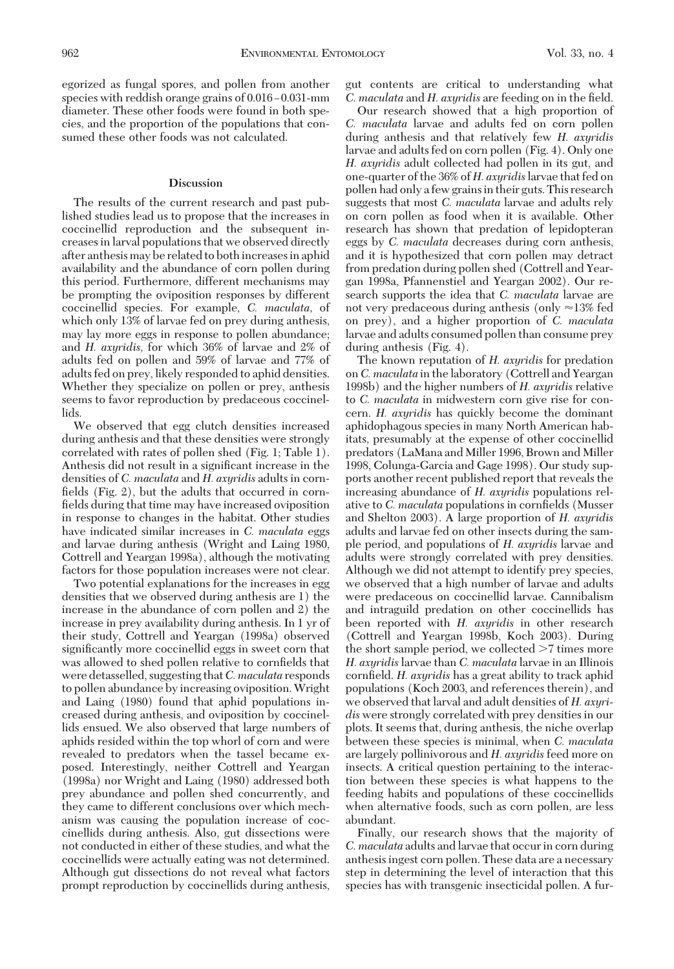egorized as fungal spores, and pollen from another species with reddish orange grains of  $0.016 - 0.031$ -mm diameter. These other foods were found in both species, and the proportion of the populations that consumed these other foods was not calculated.

#### **Discussion**

The results of the current research and past published studies lead us to propose that the increases in coccinellid reproduction and the subsequent increases in larval populations that we observed directly after anthesis may be related to both increases in aphid availability and the abundance of corn pollen during this period. Furthermore, different mechanisms may be prompting the oviposition responses by different coccinellid species. For example, *C. maculata,* of which only 13% of larvae fed on prey during anthesis, may lay more eggs in response to pollen abundance; and *H. axyridis,* for which 36% of larvae and 2% of adults fed on pollen and 59% of larvae and 77% of adults fed on prey, likely responded to aphid densities. Whether they specialize on pollen or prey, anthesis seems to favor reproduction by predaceous coccinellids.

We observed that egg clutch densities increased during anthesis and that these densities were strongly correlated with rates of pollen shed (Fig. 1; Table 1). Anthesis did not result in a significant increase in the densities of *C. maculata* and *H. axyridis* adults in cornfields  $(Fig, 2)$ , but the adults that occurred in cornfields during that time may have increased oviposition in response to changes in the habitat. Other studies have indicated similar increases in *C. maculata* eggs and larvae during anthesis (Wright and Laing 1980, Cottrell and Yeargan 1998a), although the motivating factors for those population increases were not clear.

Two potential explanations for the increases in egg densities that we observed during anthesis are 1) the increase in the abundance of corn pollen and 2) the increase in prey availability during anthesis. In 1 yr of their study, Cottrell and Yeargan (1998a) observed significantly more coccinellid eggs in sweet corn that was allowed to shed pollen relative to cornfields that were detasselled, suggesting that*C. maculata* responds to pollen abundance by increasing oviposition.Wright and Laing (1980) found that aphid populations increased during anthesis, and oviposition by coccinellids ensued. We also observed that large numbers of aphids resided within the top whorl of corn and were revealed to predators when the tassel became exposed. Interestingly, neither Cottrell and Yeargan (1998a) nor Wright and Laing (1980) addressed both prey abundance and pollen shed concurrently, and they came to different conclusions over which mechanism was causing the population increase of coccinellids during anthesis. Also, gut dissections were not conducted in either of these studies, and what the coccinellids were actually eating was not determined. Although gut dissections do not reveal what factors prompt reproduction by coccinellids during anthesis,

gut contents are critical to understanding what *C. maculata* and *H. axyridis* are feeding on in the field.

Our research showed that a high proportion of *C. maculata* larvae and adults fed on corn pollen during anthesis and that relatively few *H. axyridis* larvae and adults fed on corn pollen (Fig. 4). Only one *H. axyridis* adult collected had pollen in its gut, and one-quarter of the 36% of *H. axyridis*larvae that fed on pollen had only a few grains in their guts. This research suggests that most *C. maculata* larvae and adults rely on corn pollen as food when it is available. Other research has shown that predation of lepidopteran eggs by *C. maculata* decreases during corn anthesis, and it is hypothesized that corn pollen may detract from predation during pollen shed (Cottrell and Yeargan 1998a, Pfannenstiel and Yeargan 2002). Our research supports the idea that *C. maculata* larvae are not very predaceous during anthesis (only  $\approx$ 13% fed on prey), and a higher proportion of *C. maculata* larvae and adults consumed pollen than consume prey during anthesis (Fig. 4).

The known reputation of *H. axyridis* for predation on*C. maculata* in the laboratory (Cottrell and Yeargan 1998b) and the higher numbers of *H. axyridis* relative to *C. maculata* in midwestern corn give rise for concern. *H. axyridis* has quickly become the dominant aphidophagous species in many North American habitats, presumably at the expense of other coccinellid predators (LaMana and Miller 1996, Brown and Miller 1998, Colunga-Garcia and Gage 1998). Our study supports another recent published report that reveals the increasing abundance of *H. axyridis* populations relative to *C. maculata* populations in cornfields (Musser and Shelton 2003). A large proportion of *H. axyridis* adults and larvae fed on other insects during the sample period, and populations of *H. axyridis* larvae and adults were strongly correlated with prey densities. Although we did not attempt to identify prey species, we observed that a high number of larvae and adults were predaceous on coccinellid larvae. Cannibalism and intraguild predation on other coccinellids has been reported with *H. axyridis* in other research (Cottrell and Yeargan 1998b, Koch 2003). During the short sample period, we collected  $>7$  times more *H. axyridis* larvae than *C. maculata* larvae in an Illinois cornfield. *H. axyridis* has a great ability to track aphid populations (Koch 2003, and references therein), and we observed that larval and adult densities of *H. axyridis* were strongly correlated with prey densities in our plots. It seems that, during anthesis, the niche overlap between these species is minimal, when *C. maculata* are largely pollinivorous and *H. axyridis* feed more on insects. A critical question pertaining to the interaction between these species is what happens to the feeding habits and populations of these coccinellids when alternative foods, such as corn pollen, are less abundant.

Finally, our research shows that the majority of *C. maculata* adults and larvae that occur in corn during anthesis ingest corn pollen. These data are a necessary step in determining the level of interaction that this species has with transgenic insecticidal pollen. A fur-